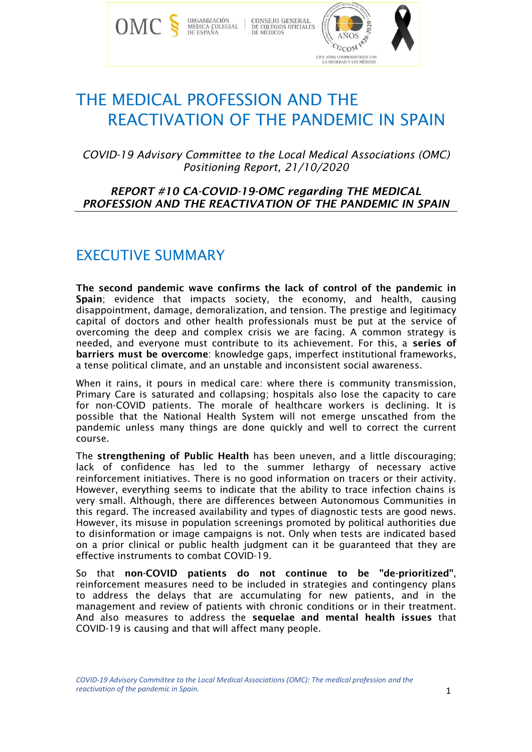

# THE MEDICAL PROFESSION AND THE REACTIVATION OF THE PANDEMIC IN SPAIN

*COVID-19 Advisory Committee to the Local Medical Associations (OMC) Positioning Report, 21/10/2020*

#### *REPORT #10 CA-COVID-19-OMC regarding THE MEDICAL PROFESSION AND THE REACTIVATION OF THE PANDEMIC IN SPAIN*

### EXECUTIVE SUMMARY

The second pandemic wave confirms the lack of control of the pandemic in Spain; evidence that impacts society, the economy, and health, causing disappointment, damage, demoralization, and tension. The prestige and legitimacy capital of doctors and other health professionals must be put at the service of overcoming the deep and complex crisis we are facing. A common strategy is needed, and everyone must contribute to its achievement. For this, a series of barriers must be overcome: knowledge gaps, imperfect institutional frameworks, a tense political climate, and an unstable and inconsistent social awareness.

When it rains, it pours in medical care: where there is community transmission, Primary Care is saturated and collapsing; hospitals also lose the capacity to care for non-COVID patients. The morale of healthcare workers is declining. It is possible that the National Health System will not emerge unscathed from the pandemic unless many things are done quickly and well to correct the current course.

The strengthening of Public Health has been uneven, and a little discouraging; lack of confidence has led to the summer lethargy of necessary active reinforcement initiatives. There is no good information on tracers or their activity. However, everything seems to indicate that the ability to trace infection chains is very small. Although, there are differences between Autonomous Communities in this regard. The increased availability and types of diagnostic tests are good news. However, its misuse in population screenings promoted by political authorities due to disinformation or image campaigns is not. Only when tests are indicated based on a prior clinical or public health judgment can it be guaranteed that they are effective instruments to combat COVID-19.

So that non-COVID patients do not continue to be "de-prioritized", reinforcement measures need to be included in strategies and contingency plans to address the delays that are accumulating for new patients, and in the management and review of patients with chronic conditions or in their treatment. And also measures to address the sequelae and mental health issues that COVID-19 is causing and that will affect many people.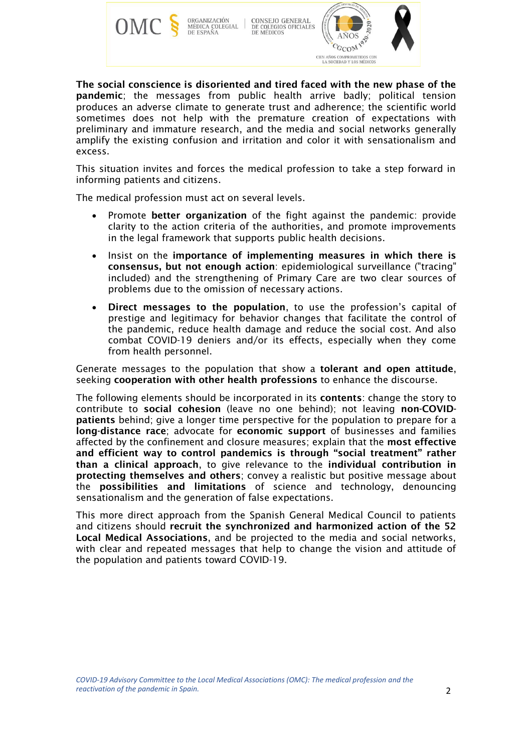

The social conscience is disoriented and tired faced with the new phase of the pandemic; the messages from public health arrive badly; political tension produces an adverse climate to generate trust and adherence; the scientific world sometimes does not help with the premature creation of expectations with preliminary and immature research, and the media and social networks generally amplify the existing confusion and irritation and color it with sensationalism and excess.

This situation invites and forces the medical profession to take a step forward in informing patients and citizens.

The medical profession must act on several levels.

- Promote better organization of the fight against the pandemic: provide clarity to the action criteria of the authorities, and promote improvements in the legal framework that supports public health decisions.
- Insist on the importance of implementing measures in which there is consensus, but not enough action: epidemiological surveillance ("tracing" included) and the strengthening of Primary Care are two clear sources of problems due to the omission of necessary actions.
- Direct messages to the population, to use the profession's capital of prestige and legitimacy for behavior changes that facilitate the control of the pandemic, reduce health damage and reduce the social cost. And also combat COVID-19 deniers and/or its effects, especially when they come from health personnel.

Generate messages to the population that show a tolerant and open attitude, seeking cooperation with other health professions to enhance the discourse.

The following elements should be incorporated in its contents: change the story to contribute to social cohesion (leave no one behind); not leaving non-COVIDpatients behind; give a longer time perspective for the population to prepare for a long-distance race; advocate for economic support of businesses and families affected by the confinement and closure measures; explain that the most effective and efficient way to control pandemics is through "social treatment" rather than a clinical approach, to give relevance to the individual contribution in protecting themselves and others; convey a realistic but positive message about the possibilities and limitations of science and technology, denouncing sensationalism and the generation of false expectations.

This more direct approach from the Spanish General Medical Council to patients and citizens should recruit the synchronized and harmonized action of the 52 Local Medical Associations, and be projected to the media and social networks, with clear and repeated messages that help to change the vision and attitude of the population and patients toward COVID-19.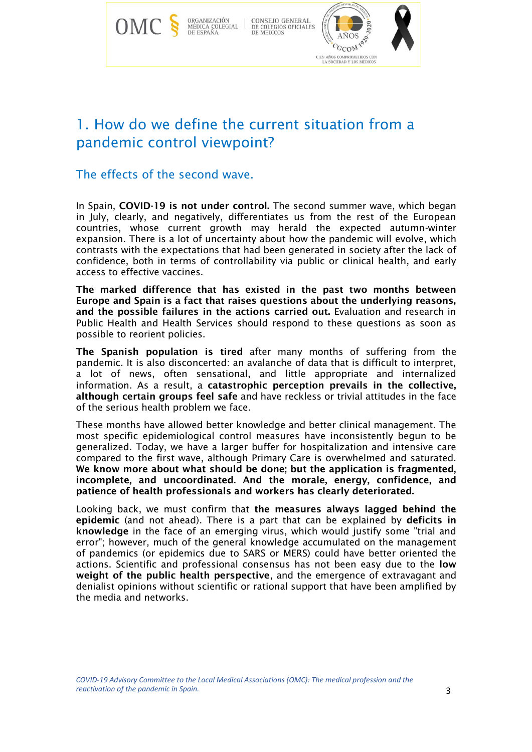

### 1. How do we define the current situation from a pandemic control viewpoint?

The effects of the second wave.

In Spain, COVID-19 is not under control. The second summer wave, which began in July, clearly, and negatively, differentiates us from the rest of the European countries, whose current growth may herald the expected autumn-winter expansion. There is a lot of uncertainty about how the pandemic will evolve, which contrasts with the expectations that had been generated in society after the lack of confidence, both in terms of controllability via public or clinical health, and early access to effective vaccines.

The marked difference that has existed in the past two months between Europe and Spain is a fact that raises questions about the underlying reasons, and the possible failures in the actions carried out. Evaluation and research in Public Health and Health Services should respond to these questions as soon as possible to reorient policies.

The Spanish population is tired after many months of suffering from the pandemic. It is also disconcerted: an avalanche of data that is difficult to interpret, a lot of news, often sensational, and little appropriate and internalized information. As a result, a catastrophic perception prevails in the collective, although certain groups feel safe and have reckless or trivial attitudes in the face of the serious health problem we face.

These months have allowed better knowledge and better clinical management. The most specific epidemiological control measures have inconsistently begun to be generalized. Today, we have a larger buffer for hospitalization and intensive care compared to the first wave, although Primary Care is overwhelmed and saturated. We know more about what should be done; but the application is fragmented, incomplete, and uncoordinated. And the morale, energy, confidence, and patience of health professionals and workers has clearly deteriorated.

Looking back, we must confirm that the measures always lagged behind the epidemic (and not ahead). There is a part that can be explained by deficits in knowledge in the face of an emerging virus, which would justify some "trial and error"; however, much of the general knowledge accumulated on the management of pandemics (or epidemics due to SARS or MERS) could have better oriented the actions. Scientific and professional consensus has not been easy due to the low weight of the public health perspective, and the emergence of extravagant and denialist opinions without scientific or rational support that have been amplified by the media and networks.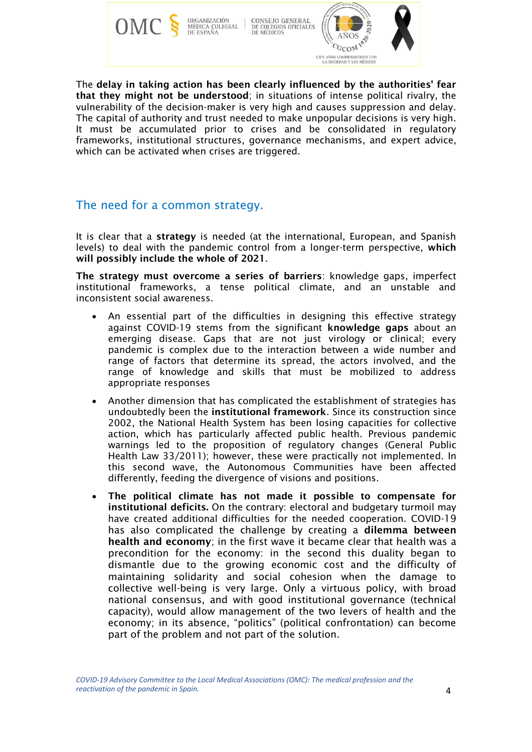

The delay in taking action has been clearly influenced by the authorities' fear that they might not be understood; in situations of intense political rivalry, the vulnerability of the decision-maker is very high and causes suppression and delay. The capital of authority and trust needed to make unpopular decisions is very high. It must be accumulated prior to crises and be consolidated in regulatory frameworks, institutional structures, governance mechanisms, and expert advice, which can be activated when crises are triggered.

#### The need for a common strategy.

It is clear that a strategy is needed (at the international, European, and Spanish levels) to deal with the pandemic control from a longer-term perspective, which will possibly include the whole of 2021.

The strategy must overcome a series of barriers: knowledge gaps, imperfect institutional frameworks, a tense political climate, and an unstable and inconsistent social awareness.

- An essential part of the difficulties in designing this effective strategy against COVID-19 stems from the significant knowledge gaps about an emerging disease. Gaps that are not just virology or clinical; every pandemic is complex due to the interaction between a wide number and range of factors that determine its spread, the actors involved, and the range of knowledge and skills that must be mobilized to address appropriate responses
- Another dimension that has complicated the establishment of strategies has undoubtedly been the institutional framework. Since its construction since 2002, the National Health System has been losing capacities for collective action, which has particularly affected public health. Previous pandemic warnings led to the proposition of regulatory changes (General Public Health Law 33/2011); however, these were practically not implemented. In this second wave, the Autonomous Communities have been affected differently, feeding the divergence of visions and positions.
- The political climate has not made it possible to compensate for institutional deficits. On the contrary: electoral and budgetary turmoil may have created additional difficulties for the needed cooperation. COVID-19 has also complicated the challenge by creating a dilemma between health and economy; in the first wave it became clear that health was a precondition for the economy: in the second this duality began to dismantle due to the growing economic cost and the difficulty of maintaining solidarity and social cohesion when the damage to collective well-being is very large. Only a virtuous policy, with broad national consensus, and with good institutional governance (technical capacity), would allow management of the two levers of health and the economy; in its absence, "politics" (political confrontation) can become part of the problem and not part of the solution.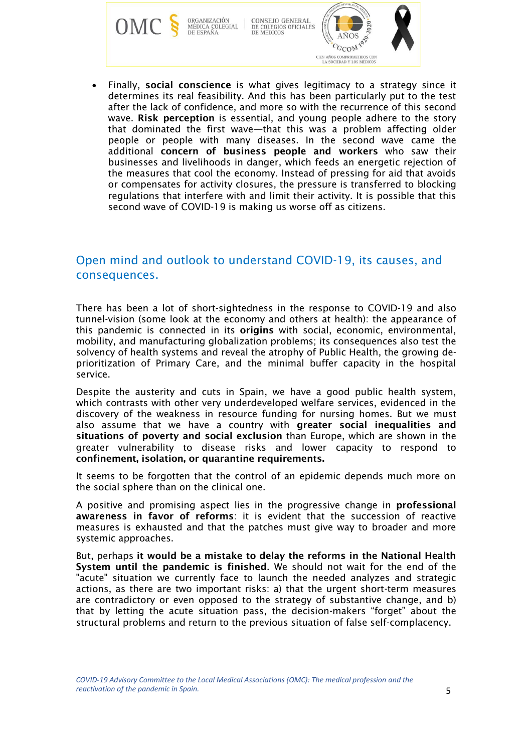CONSEJO GENERAL<br>DE COLEGIOS OFICIALES<br>DE MÉDICOS ORGANIZACIÓN<br>MÉDICA COLEGIAL<br>DE ESPAÑA

**OM** 



• Finally, social conscience is what gives legitimacy to a strategy since it determines its real feasibility. And this has been particularly put to the test after the lack of confidence, and more so with the recurrence of this second wave. Risk perception is essential, and young people adhere to the story that dominated the first wave—that this was a problem affecting older people or people with many diseases. In the second wave came the additional concern of business people and workers who saw their businesses and livelihoods in danger, which feeds an energetic rejection of the measures that cool the economy. Instead of pressing for aid that avoids or compensates for activity closures, the pressure is transferred to blocking regulations that interfere with and limit their activity. It is possible that this second wave of COVID-19 is making us worse off as citizens.

### Open mind and outlook to understand COVID-19, its causes, and consequences.

There has been a lot of short-sightedness in the response to COVID-19 and also tunnel-vision (some look at the economy and others at health): the appearance of this pandemic is connected in its origins with social, economic, environmental, mobility, and manufacturing globalization problems; its consequences also test the solvency of health systems and reveal the atrophy of Public Health, the growing deprioritization of Primary Care, and the minimal buffer capacity in the hospital service.

Despite the austerity and cuts in Spain, we have a good public health system, which contrasts with other very underdeveloped welfare services, evidenced in the discovery of the weakness in resource funding for nursing homes. But we must also assume that we have a country with greater social inequalities and situations of poverty and social exclusion than Europe, which are shown in the greater vulnerability to disease risks and lower capacity to respond to confinement, isolation, or quarantine requirements.

It seems to be forgotten that the control of an epidemic depends much more on the social sphere than on the clinical one.

A positive and promising aspect lies in the progressive change in professional awareness in favor of reforms: it is evident that the succession of reactive measures is exhausted and that the patches must give way to broader and more systemic approaches.

But, perhaps it would be a mistake to delay the reforms in the National Health System until the pandemic is finished. We should not wait for the end of the "acute" situation we currently face to launch the needed analyzes and strategic actions, as there are two important risks: a) that the urgent short-term measures are contradictory or even opposed to the strategy of substantive change, and b) that by letting the acute situation pass, the decision-makers "forget" about the structural problems and return to the previous situation of false self-complacency.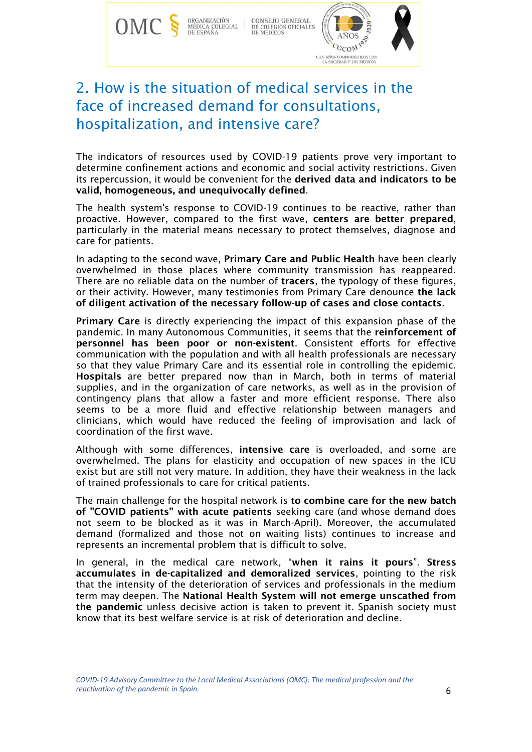

# 2. How is the situation of medical services in the face of increased demand for consultations, hospitalization, and intensive care?

The indicators of resources used by COVID-19 patients prove very important to determine confinement actions and economic and social activity restrictions. Given its repercussion, it would be convenient for the derived data and indicators to be valid, homogeneous, and unequivocally defined.

The health system's response to COVID-19 continues to be reactive, rather than proactive. However, compared to the first wave, centers are better prepared, particularly in the material means necessary to protect themselves, diagnose and care for patients.

In adapting to the second wave, Primary Care and Public Health have been clearly overwhelmed in those places where community transmission has reappeared. There are no reliable data on the number of tracers, the typology of these figures, or their activity. However, many testimonies from Primary Care denounce the lack of diligent activation of the necessary follow-up of cases and close contacts.

Primary Care is directly experiencing the impact of this expansion phase of the pandemic. In many Autonomous Communities, it seems that the reinforcement of personnel has been poor or non-existent. Consistent efforts for effective communication with the population and with all health professionals are necessary so that they value Primary Care and its essential role in controlling the epidemic. Hospitals are better prepared now than in March, both in terms of material supplies, and in the organization of care networks, as well as in the provision of contingency plans that allow a faster and more efficient response. There also seems to be a more fluid and effective relationship between managers and clinicians, which would have reduced the feeling of improvisation and lack of coordination of the first wave.

Although with some differences, intensive care is overloaded, and some are overwhelmed. The plans for elasticity and occupation of new spaces in the ICU exist but are still not very mature. In addition, they have their weakness in the lack of trained professionals to care for critical patients.

The main challenge for the hospital network is to combine care for the new batch of "COVID patients" with acute patients seeking care (and whose demand does not seem to be blocked as it was in March-April). Moreover, the accumulated demand (formalized and those not on waiting lists) continues to increase and represents an incremental problem that is difficult to solve.

In general, in the medical care network, "when it rains it pours". Stress accumulates in de-capitalized and demoralized services, pointing to the risk that the intensity of the deterioration of services and professionals in the medium term may deepen. The National Health System will not emerge unscathed from the pandemic unless decisive action is taken to prevent it. Spanish society must know that its best welfare service is at risk of deterioration and decline.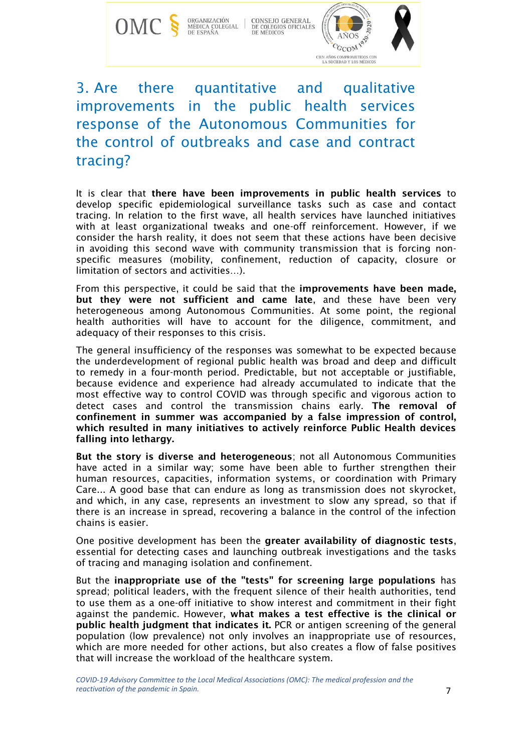

 $\begin{tabular}{l|c|c|c} {\bf ORGANIZATION} & {\bf CONSEJO GENERAL} \\ {\bf MÉDICA COLEGIAL} & {\bf DE COLEGIOS OFICIALES} \\ {\bf DE ESPANA} & {\bf DE MEDICOS} \\ \end{tabular}$ 



# 3. Are there quantitative and qualitative improvements in the public health services response of the Autonomous Communities for the control of outbreaks and case and contract tracing?

It is clear that there have been improvements in public health services to develop specific epidemiological surveillance tasks such as case and contact tracing. In relation to the first wave, all health services have launched initiatives with at least organizational tweaks and one-off reinforcement. However, if we consider the harsh reality, it does not seem that these actions have been decisive in avoiding this second wave with community transmission that is forcing nonspecific measures (mobility, confinement, reduction of capacity, closure or limitation of sectors and activities…).

From this perspective, it could be said that the improvements have been made, but they were not sufficient and came late, and these have been very heterogeneous among Autonomous Communities. At some point, the regional health authorities will have to account for the diligence, commitment, and adequacy of their responses to this crisis.

The general insufficiency of the responses was somewhat to be expected because the underdevelopment of regional public health was broad and deep and difficult to remedy in a four-month period. Predictable, but not acceptable or justifiable, because evidence and experience had already accumulated to indicate that the most effective way to control COVID was through specific and vigorous action to detect cases and control the transmission chains early. The removal of confinement in summer was accompanied by a false impression of control, which resulted in many initiatives to actively reinforce Public Health devices falling into lethargy.

But the story is diverse and heterogeneous; not all Autonomous Communities have acted in a similar way; some have been able to further strengthen their human resources, capacities, information systems, or coordination with Primary Care... A good base that can endure as long as transmission does not skyrocket, and which, in any case, represents an investment to slow any spread, so that if there is an increase in spread, recovering a balance in the control of the infection chains is easier.

One positive development has been the greater availability of diagnostic tests, essential for detecting cases and launching outbreak investigations and the tasks of tracing and managing isolation and confinement.

But the inappropriate use of the "tests" for screening large populations has spread; political leaders, with the frequent silence of their health authorities, tend to use them as a one-off initiative to show interest and commitment in their fight against the pandemic. However, what makes a test effective is the clinical or public health judgment that indicates it. PCR or antigen screening of the general population (low prevalence) not only involves an inappropriate use of resources, which are more needed for other actions, but also creates a flow of false positives that will increase the workload of the healthcare system.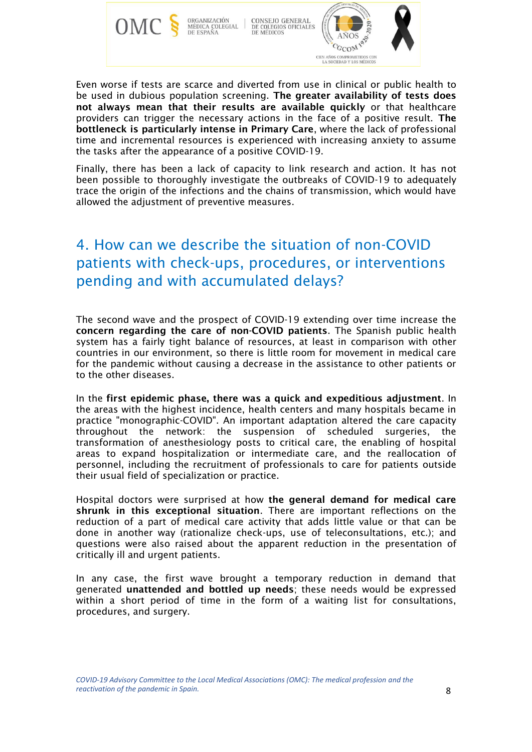

Even worse if tests are scarce and diverted from use in clinical or public health to be used in dubious population screening. The greater availability of tests does not always mean that their results are available quickly or that healthcare providers can trigger the necessary actions in the face of a positive result. The bottleneck is particularly intense in Primary Care, where the lack of professional time and incremental resources is experienced with increasing anxiety to assume the tasks after the appearance of a positive COVID-19.

Finally, there has been a lack of capacity to link research and action. It has not been possible to thoroughly investigate the outbreaks of COVID-19 to adequately trace the origin of the infections and the chains of transmission, which would have allowed the adjustment of preventive measures.

# 4. How can we describe the situation of non-COVID patients with check-ups, procedures, or interventions pending and with accumulated delays?

The second wave and the prospect of COVID-19 extending over time increase the concern regarding the care of non-COVID patients. The Spanish public health system has a fairly tight balance of resources, at least in comparison with other countries in our environment, so there is little room for movement in medical care for the pandemic without causing a decrease in the assistance to other patients or to the other diseases.

In the first epidemic phase, there was a quick and expeditious adjustment. In the areas with the highest incidence, health centers and many hospitals became in practice "monographic-COVID". An important adaptation altered the care capacity throughout the network: the suspension of scheduled surgeries, the transformation of anesthesiology posts to critical care, the enabling of hospital areas to expand hospitalization or intermediate care, and the reallocation of personnel, including the recruitment of professionals to care for patients outside their usual field of specialization or practice.

Hospital doctors were surprised at how the general demand for medical care shrunk in this exceptional situation. There are important reflections on the reduction of a part of medical care activity that adds little value or that can be done in another way (rationalize check-ups, use of teleconsultations, etc.); and questions were also raised about the apparent reduction in the presentation of critically ill and urgent patients.

In any case, the first wave brought a temporary reduction in demand that generated unattended and bottled up needs; these needs would be expressed within a short period of time in the form of a waiting list for consultations, procedures, and surgery.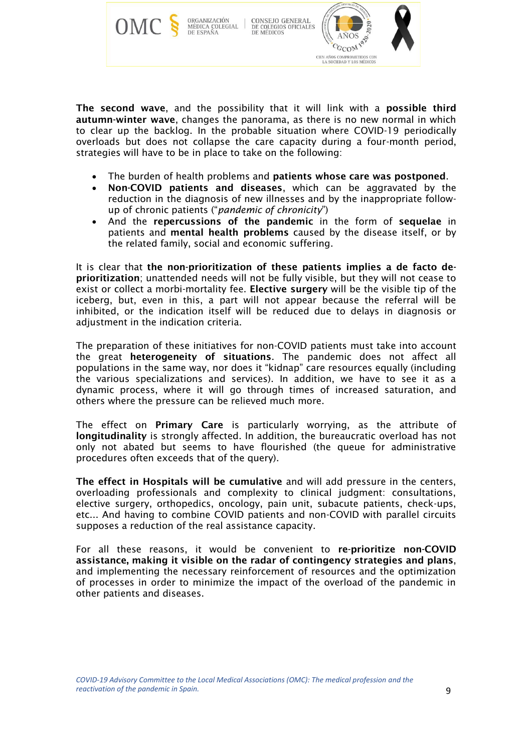

The second wave, and the possibility that it will link with a possible third autumn-winter wave, changes the panorama, as there is no new normal in which to clear up the backlog. In the probable situation where COVID-19 periodically overloads but does not collapse the care capacity during a four-month period, strategies will have to be in place to take on the following:

- The burden of health problems and patients whose care was postponed.
- Non-COVID patients and diseases, which can be aggravated by the reduction in the diagnosis of new illnesses and by the inappropriate followup of chronic patients ("*pandemic of chronicity*")
- And the repercussions of the pandemic in the form of sequelae in patients and mental health problems caused by the disease itself, or by the related family, social and economic suffering.

It is clear that the non-prioritization of these patients implies a de facto deprioritization; unattended needs will not be fully visible, but they will not cease to exist or collect a morbi-mortality fee. Elective surgery will be the visible tip of the iceberg, but, even in this, a part will not appear because the referral will be inhibited, or the indication itself will be reduced due to delays in diagnosis or adjustment in the indication criteria.

The preparation of these initiatives for non-COVID patients must take into account the great heterogeneity of situations. The pandemic does not affect all populations in the same way, nor does it "kidnap" care resources equally (including the various specializations and services). In addition, we have to see it as a dynamic process, where it will go through times of increased saturation, and others where the pressure can be relieved much more.

The effect on Primary Care is particularly worrying, as the attribute of longitudinality is strongly affected. In addition, the bureaucratic overload has not only not abated but seems to have flourished (the queue for administrative procedures often exceeds that of the query).

The effect in Hospitals will be cumulative and will add pressure in the centers, overloading professionals and complexity to clinical judgment: consultations, elective surgery, orthopedics, oncology, pain unit, subacute patients, check-ups, etc... And having to combine COVID patients and non-COVID with parallel circuits supposes a reduction of the real assistance capacity.

For all these reasons, it would be convenient to re-prioritize non-COVID assistance, making it visible on the radar of contingency strategies and plans, and implementing the necessary reinforcement of resources and the optimization of processes in order to minimize the impact of the overload of the pandemic in other patients and diseases.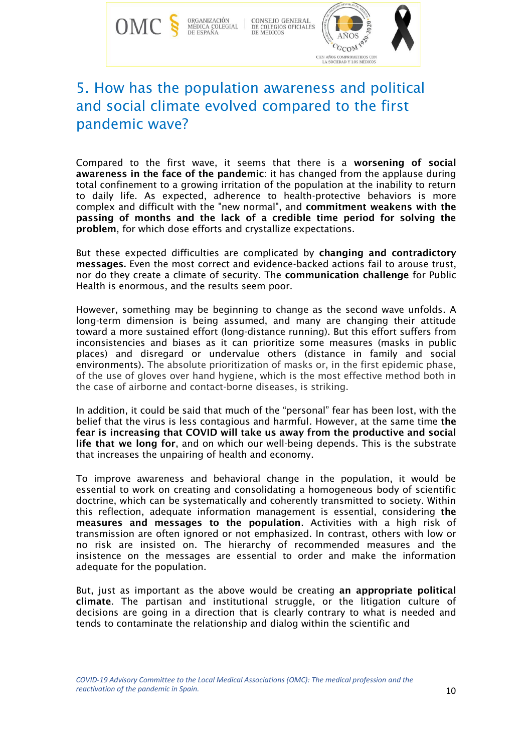

### 5. How has the population awareness and political and social climate evolved compared to the first pandemic wave?

Compared to the first wave, it seems that there is a worsening of social awareness in the face of the pandemic: it has changed from the applause during total confinement to a growing irritation of the population at the inability to return to daily life. As expected, adherence to health-protective behaviors is more complex and difficult with the "new normal", and commitment weakens with the passing of months and the lack of a credible time period for solving the problem, for which dose efforts and crystallize expectations.

But these expected difficulties are complicated by changing and contradictory messages. Even the most correct and evidence-backed actions fail to arouse trust, nor do they create a climate of security. The communication challenge for Public Health is enormous, and the results seem poor.

However, something may be beginning to change as the second wave unfolds. A long-term dimension is being assumed, and many are changing their attitude toward a more sustained effort (long-distance running). But this effort suffers from inconsistencies and biases as it can prioritize some measures (masks in public places) and disregard or undervalue others (distance in family and social environments). The absolute prioritization of masks or, in the first epidemic phase, of the use of gloves over hand hygiene, which is the most effective method both in the case of airborne and contact-borne diseases, is striking.

In addition, it could be said that much of the "personal" fear has been lost, with the belief that the virus is less contagious and harmful. However, at the same time the fear is increasing that COVID will take us away from the productive and social life that we long for, and on which our well-being depends. This is the substrate that increases the unpairing of health and economy.

To improve awareness and behavioral change in the population, it would be essential to work on creating and consolidating a homogeneous body of scientific doctrine, which can be systematically and coherently transmitted to society. Within this reflection, adequate information management is essential, considering the measures and messages to the population. Activities with a high risk of transmission are often ignored or not emphasized. In contrast, others with low or no risk are insisted on. The hierarchy of recommended measures and the insistence on the messages are essential to order and make the information adequate for the population.

But, just as important as the above would be creating an appropriate political climate. The partisan and institutional struggle, or the litigation culture of decisions are going in a direction that is clearly contrary to what is needed and tends to contaminate the relationship and dialog within the scientific and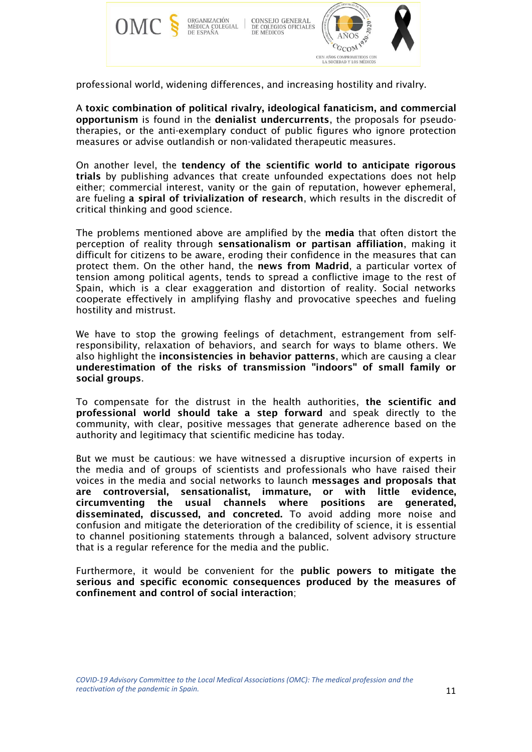

professional world, widening differences, and increasing hostility and rivalry.

A toxic combination of political rivalry, ideological fanaticism, and commercial opportunism is found in the denialist undercurrents, the proposals for pseudotherapies, or the anti-exemplary conduct of public figures who ignore protection measures or advise outlandish or non-validated therapeutic measures.

On another level, the tendency of the scientific world to anticipate rigorous trials by publishing advances that create unfounded expectations does not help either; commercial interest, vanity or the gain of reputation, however ephemeral, are fueling a spiral of trivialization of research, which results in the discredit of critical thinking and good science.

The problems mentioned above are amplified by the **media** that often distort the perception of reality through sensationalism or partisan affiliation, making it difficult for citizens to be aware, eroding their confidence in the measures that can protect them. On the other hand, the news from Madrid, a particular vortex of tension among political agents, tends to spread a conflictive image to the rest of Spain, which is a clear exaggeration and distortion of reality. Social networks cooperate effectively in amplifying flashy and provocative speeches and fueling hostility and mistrust.

We have to stop the growing feelings of detachment, estrangement from selfresponsibility, relaxation of behaviors, and search for ways to blame others. We also highlight the inconsistencies in behavior patterns, which are causing a clear underestimation of the risks of transmission "indoors" of small family or social groups.

To compensate for the distrust in the health authorities, the scientific and professional world should take a step forward and speak directly to the community, with clear, positive messages that generate adherence based on the authority and legitimacy that scientific medicine has today.

But we must be cautious: we have witnessed a disruptive incursion of experts in the media and of groups of scientists and professionals who have raised their voices in the media and social networks to launch messages and proposals that are controversial, sensationalist, immature, or with little evidence, circumventing the usual channels where positions are generated, disseminated, discussed, and concreted. To avoid adding more noise and confusion and mitigate the deterioration of the credibility of science, it is essential to channel positioning statements through a balanced, solvent advisory structure that is a regular reference for the media and the public.

Furthermore, it would be convenient for the public powers to mitigate the serious and specific economic consequences produced by the measures of confinement and control of social interaction;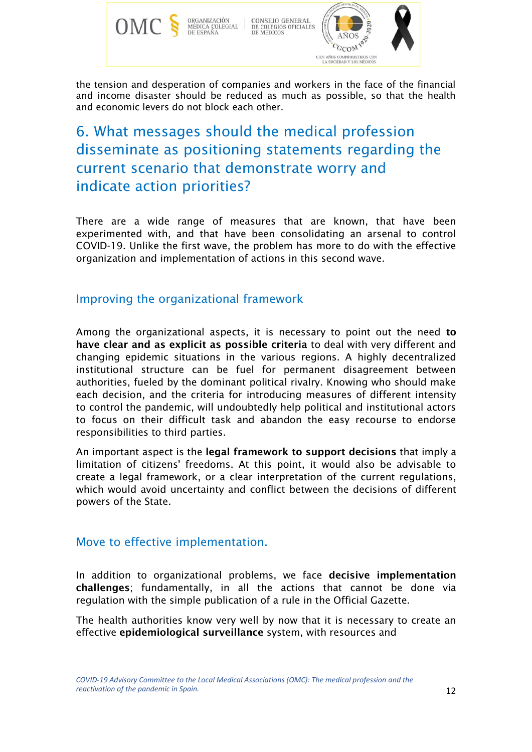

the tension and desperation of companies and workers in the face of the financial and income disaster should be reduced as much as possible, so that the health and economic levers do not block each other.

# 6. What messages should the medical profession disseminate as positioning statements regarding the current scenario that demonstrate worry and indicate action priorities?

There are a wide range of measures that are known, that have been experimented with, and that have been consolidating an arsenal to control COVID-19. Unlike the first wave, the problem has more to do with the effective organization and implementation of actions in this second wave.

#### Improving the organizational framework

Among the organizational aspects, it is necessary to point out the need to have clear and as explicit as possible criteria to deal with very different and changing epidemic situations in the various regions. A highly decentralized institutional structure can be fuel for permanent disagreement between authorities, fueled by the dominant political rivalry. Knowing who should make each decision, and the criteria for introducing measures of different intensity to control the pandemic, will undoubtedly help political and institutional actors to focus on their difficult task and abandon the easy recourse to endorse responsibilities to third parties.

An important aspect is the legal framework to support decisions that imply a limitation of citizens' freedoms. At this point, it would also be advisable to create a legal framework, or a clear interpretation of the current regulations, which would avoid uncertainty and conflict between the decisions of different powers of the State.

#### Move to effective implementation.

In addition to organizational problems, we face decisive implementation challenges; fundamentally, in all the actions that cannot be done via regulation with the simple publication of a rule in the Official Gazette.

The health authorities know very well by now that it is necessary to create an effective epidemiological surveillance system, with resources and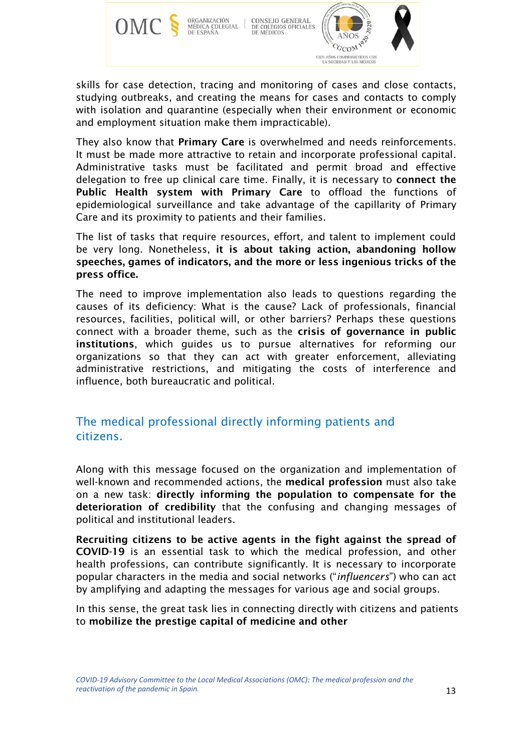

skills for case detection, tracing and monitoring of cases and close contacts, studying outbreaks, and creating the means for cases and contacts to comply with isolation and quarantine (especially when their environment or economic and employment situation make them impracticable).

They also know that Primary Care is overwhelmed and needs reinforcements. It must be made more attractive to retain and incorporate professional capital. Administrative tasks must be facilitated and permit broad and effective delegation to free up clinical care time. Finally, it is necessary to connect the Public Health system with Primary Care to offload the functions of epidemiological surveillance and take advantage of the capillarity of Primary Care and its proximity to patients and their families.

The list of tasks that require resources, effort, and talent to implement could be very long. Nonetheless, it is about taking action, abandoning hollow speeches, games of indicators, and the more or less ingenious tricks of the press office.

The need to improve implementation also leads to questions regarding the causes of its deficiency: What is the cause? Lack of professionals, financial resources, facilities, political will, or other barriers? Perhaps these questions connect with a broader theme, such as the crisis of governance in public institutions, which guides us to pursue alternatives for reforming our organizations so that they can act with greater enforcement, alleviating administrative restrictions, and mitigating the costs of interference and influence, both bureaucratic and political.

#### The medical professional directly informing patients and citizens.

Along with this message focused on the organization and implementation of well-known and recommended actions, the medical profession must also take on a new task: directly informing the population to compensate for the deterioration of credibility that the confusing and changing messages of political and institutional leaders.

Recruiting citizens to be active agents in the fight against the spread of COVID-19 is an essential task to which the medical profession, and other health professions, can contribute significantly. It is necessary to incorporate popular characters in the media and social networks ("*influencers*") who can act by amplifying and adapting the messages for various age and social groups.

In this sense, the great task lies in connecting directly with citizens and patients to mobilize the prestige capital of medicine and other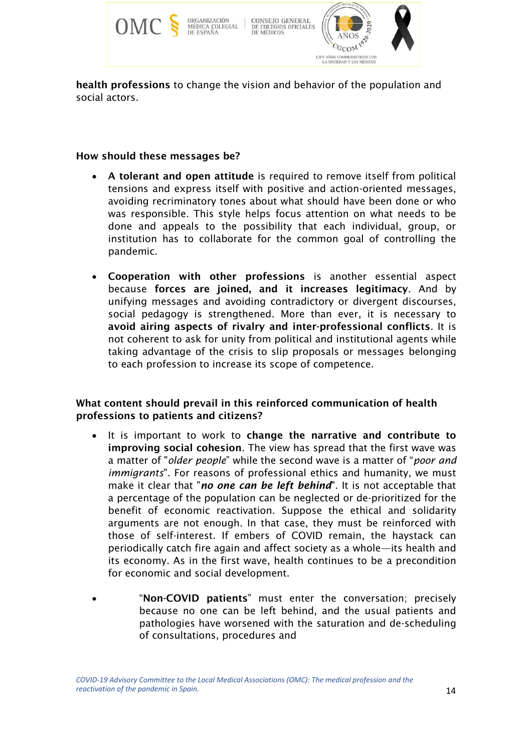

health professions to change the vision and behavior of the population and social actors.

#### How should these messages be?

- A tolerant and open attitude is required to remove itself from political tensions and express itself with positive and action-oriented messages, avoiding recriminatory tones about what should have been done or who was responsible. This style helps focus attention on what needs to be done and appeals to the possibility that each individual, group, or institution has to collaborate for the common goal of controlling the pandemic.
- Cooperation with other professions is another essential aspect because forces are joined, and it increases legitimacy. And by unifying messages and avoiding contradictory or divergent discourses, social pedagogy is strengthened. More than ever, it is necessary to avoid airing aspects of rivalry and inter-professional conflicts. It is not coherent to ask for unity from political and institutional agents while taking advantage of the crisis to slip proposals or messages belonging to each profession to increase its scope of competence.

#### What content should prevail in this reinforced communication of health professions to patients and citizens?

- It is important to work to change the narrative and contribute to improving social cohesion. The view has spread that the first wave was a matter of "*older people*" while the second wave is a matter of "*poor and immigrants*". For reasons of professional ethics and humanity, we must make it clear that "*no one can be left behind*". It is not acceptable that a percentage of the population can be neglected or de-prioritized for the benefit of economic reactivation. Suppose the ethical and solidarity arguments are not enough. In that case, they must be reinforced with those of self-interest. If embers of COVID remain, the haystack can periodically catch fire again and affect society as a whole—its health and its economy. As in the first wave, health continues to be a precondition for economic and social development.
- "Non-COVID patients" must enter the conversation; precisely because no one can be left behind, and the usual patients and pathologies have worsened with the saturation and de-scheduling of consultations, procedures and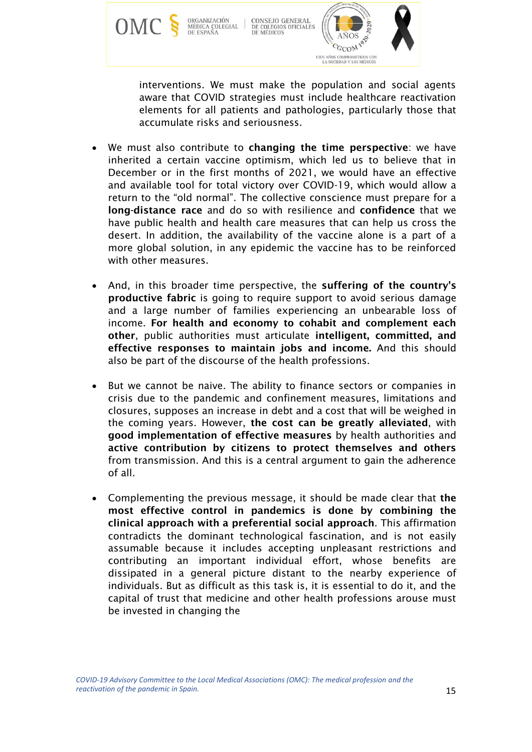

interventions. We must make the population and social agents aware that COVID strategies must include healthcare reactivation elements for all patients and pathologies, particularly those that accumulate risks and seriousness.

- We must also contribute to changing the time perspective: we have inherited a certain vaccine optimism, which led us to believe that in December or in the first months of 2021, we would have an effective and available tool for total victory over COVID-19, which would allow a return to the "old normal". The collective conscience must prepare for a long-distance race and do so with resilience and confidence that we have public health and health care measures that can help us cross the desert. In addition, the availability of the vaccine alone is a part of a more global solution, in any epidemic the vaccine has to be reinforced with other measures.
- And, in this broader time perspective, the suffering of the country's productive fabric is going to require support to avoid serious damage and a large number of families experiencing an unbearable loss of income. For health and economy to cohabit and complement each other, public authorities must articulate intelligent, committed, and effective responses to maintain jobs and income. And this should also be part of the discourse of the health professions.
- But we cannot be naive. The ability to finance sectors or companies in crisis due to the pandemic and confinement measures, limitations and closures, supposes an increase in debt and a cost that will be weighed in the coming years. However, the cost can be greatly alleviated, with good implementation of effective measures by health authorities and active contribution by citizens to protect themselves and others from transmission. And this is a central argument to gain the adherence of all.
- Complementing the previous message, it should be made clear that the most effective control in pandemics is done by combining the clinical approach with a preferential social approach. This affirmation contradicts the dominant technological fascination, and is not easily assumable because it includes accepting unpleasant restrictions and contributing an important individual effort, whose benefits are dissipated in a general picture distant to the nearby experience of individuals. But as difficult as this task is, it is essential to do it, and the capital of trust that medicine and other health professions arouse must be invested in changing the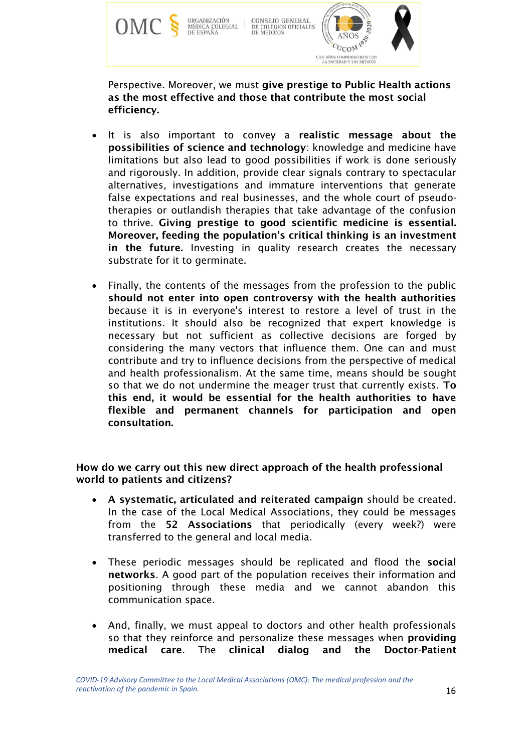

Perspective. Moreover, we must give prestige to Public Health actions as the most effective and those that contribute the most social efficiency.

- It is also important to convey a realistic message about the possibilities of science and technology: knowledge and medicine have limitations but also lead to good possibilities if work is done seriously and rigorously. In addition, provide clear signals contrary to spectacular alternatives, investigations and immature interventions that generate false expectations and real businesses, and the whole court of pseudotherapies or outlandish therapies that take advantage of the confusion to thrive. Giving prestige to good scientific medicine is essential. Moreover, feeding the population's critical thinking is an investment in the future. Investing in quality research creates the necessary substrate for it to germinate.
- Finally, the contents of the messages from the profession to the public should not enter into open controversy with the health authorities because it is in everyone's interest to restore a level of trust in the institutions. It should also be recognized that expert knowledge is necessary but not sufficient as collective decisions are forged by considering the many vectors that influence them. One can and must contribute and try to influence decisions from the perspective of medical and health professionalism. At the same time, means should be sought so that we do not undermine the meager trust that currently exists. To this end, it would be essential for the health authorities to have flexible and permanent channels for participation and open consultation.

How do we carry out this new direct approach of the health professional world to patients and citizens?

- A systematic, articulated and reiterated campaign should be created. In the case of the Local Medical Associations, they could be messages from the 52 Associations that periodically (every week?) were transferred to the general and local media.
- These periodic messages should be replicated and flood the social networks. A good part of the population receives their information and positioning through these media and we cannot abandon this communication space.
- And, finally, we must appeal to doctors and other health professionals so that they reinforce and personalize these messages when providing medical care. The clinical dialog and the Doctor-Patient